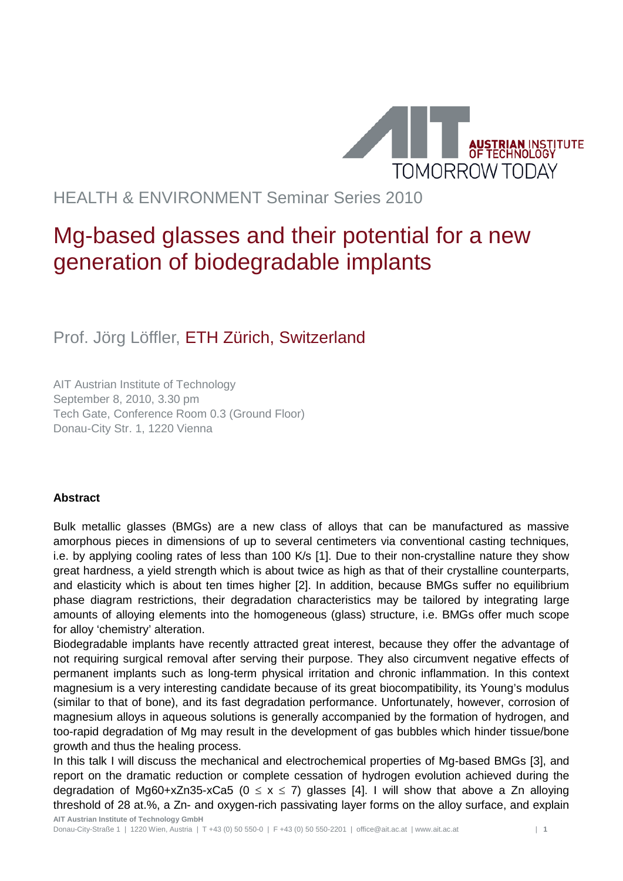

## HEALTH & ENVIRONMENT Seminar Series 2010

## Mg-based glasses and their potential for a new generation of biodegradable implants

Prof. Jörg Löffler, ETH Zürich, Switzerland

AIT Austrian Institute of Technology September 8, 2010, 3.30 pm Tech Gate, Conference Room 0.3 (Ground Floor) Donau-City Str. 1, 1220 Vienna

## **Abstract**

Bulk metallic glasses (BMGs) are a new class of alloys that can be manufactured as massive amorphous pieces in dimensions of up to several centimeters via conventional casting techniques, i.e. by applying cooling rates of less than 100 K/s [1]. Due to their non-crystalline nature they show great hardness, a yield strength which is about twice as high as that of their crystalline counterparts, and elasticity which is about ten times higher [2]. In addition, because BMGs suffer no equilibrium phase diagram restrictions, their degradation characteristics may be tailored by integrating large amounts of alloying elements into the homogeneous (glass) structure, i.e. BMGs offer much scope for alloy 'chemistry' alteration.

Biodegradable implants have recently attracted great interest, because they offer the advantage of not requiring surgical removal after serving their purpose. They also circumvent negative effects of permanent implants such as long-term physical irritation and chronic inflammation. In this context magnesium is a very interesting candidate because of its great biocompatibility, its Young's modulus (similar to that of bone), and its fast degradation performance. Unfortunately, however, corrosion of magnesium alloys in aqueous solutions is generally accompanied by the formation of hydrogen, and too-rapid degradation of Mg may result in the development of gas bubbles which hinder tissue/bone growth and thus the healing process.

In this talk I will discuss the mechanical and electrochemical properties of Mg-based BMGs [3], and report on the dramatic reduction or complete cessation of hydrogen evolution achieved during the degradation of Mg60+xZn35-xCa5 ( $0 \le x \le 7$ ) glasses [4]. I will show that above a Zn alloying threshold of 28 at.%, a Zn- and oxygen-rich passivating layer forms on the alloy surface, and explain